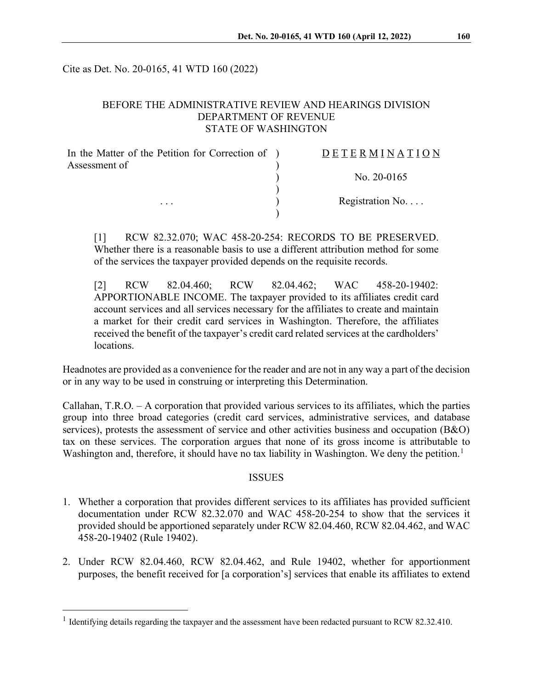Cite as Det. No. 20-0165, 41 WTD 160 (2022)

## BEFORE THE ADMINISTRATIVE REVIEW AND HEARINGS DIVISION DEPARTMENT OF REVENUE STATE OF WASHINGTON

| In the Matter of the Petition for Correction of ) | <b>DETERMINATION</b> |
|---------------------------------------------------|----------------------|
| Assessment of<br>$\cdots$                         |                      |
|                                                   | No. $20-0165$        |
|                                                   |                      |
|                                                   | Registration $No$    |
|                                                   |                      |

[1] RCW 82.32.070; WAC 458-20-254: RECORDS TO BE PRESERVED. Whether there is a reasonable basis to use a different attribution method for some of the services the taxpayer provided depends on the requisite records.

[2] RCW 82.04.460; RCW 82.04.462; WAC 458-20-19402: APPORTIONABLE INCOME. The taxpayer provided to its affiliates credit card account services and all services necessary for the affiliates to create and maintain a market for their credit card services in Washington. Therefore, the affiliates received the benefit of the taxpayer's credit card related services at the cardholders' locations.

Headnotes are provided as a convenience for the reader and are not in any way a part of the decision or in any way to be used in construing or interpreting this Determination.

Callahan, T.R.O. – A corporation that provided various services to its affiliates, which the parties group into three broad categories (credit card services, administrative services, and database services), protests the assessment of service and other activities business and occupation (B&O) tax on these services. The corporation argues that none of its gross income is attributable to Washington and, therefore, it should have no tax liability in Washington. We deny the petition.<sup>[1](#page-0-0)</sup>

### **ISSUES**

- 1. Whether a corporation that provides different services to its affiliates has provided sufficient documentation under RCW 82.32.070 and WAC 458-20-254 to show that the services it provided should be apportioned separately under RCW 82.04.460, RCW 82.04.462, and WAC 458-20-19402 (Rule 19402).
- 2. Under RCW 82.04.460, RCW 82.04.462, and Rule 19402, whether for apportionment purposes, the benefit received for [a corporation's] services that enable its affiliates to extend

<span id="page-0-0"></span><sup>&</sup>lt;sup>1</sup> Identifying details regarding the taxpayer and the assessment have been redacted pursuant to RCW 82.32.410.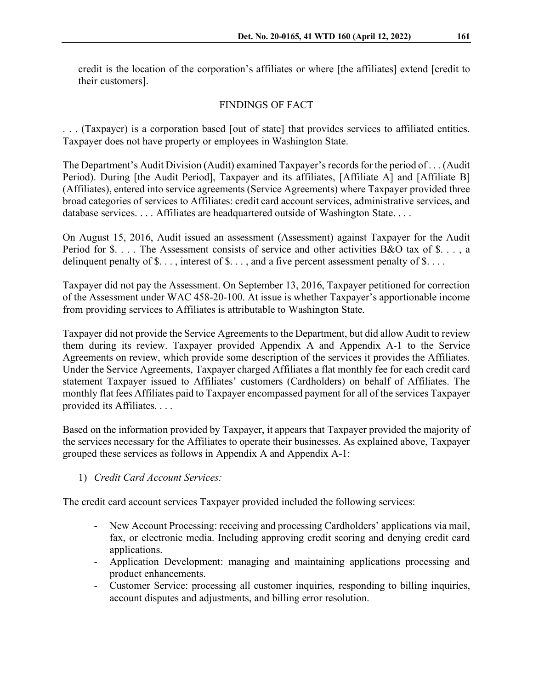credit is the location of the corporation's affiliates or where [the affiliates] extend [credit to their customers].

# FINDINGS OF FACT

. . . (Taxpayer) is a corporation based [out of state] that provides services to affiliated entities. Taxpayer does not have property or employees in Washington State.

The Department's Audit Division (Audit) examined Taxpayer's records for the period of . . . (Audit Period). During [the Audit Period], Taxpayer and its affiliates, [Affiliate A] and [Affiliate B] (Affiliates), entered into service agreements (Service Agreements) where Taxpayer provided three broad categories of services to Affiliates: credit card account services, administrative services, and database services. . . . Affiliates are headquartered outside of Washington State. . . .

On August 15, 2016, Audit issued an assessment (Assessment) against Taxpayer for the Audit Period for \$. . . . The Assessment consists of service and other activities B&O tax of \$. . . , a delinquent penalty of  $\$\dots$ , interest of  $\$\dots$ , and a five percent assessment penalty of  $\$\dots$ .

Taxpayer did not pay the Assessment. On September 13, 2016, Taxpayer petitioned for correction of the Assessment under WAC 458-20-100. At issue is whether Taxpayer's apportionable income from providing services to Affiliates is attributable to Washington State.

Taxpayer did not provide the Service Agreements to the Department, but did allow Audit to review them during its review. Taxpayer provided Appendix A and Appendix A-1 to the Service Agreements on review, which provide some description of the services it provides the Affiliates. Under the Service Agreements, Taxpayer charged Affiliates a flat monthly fee for each credit card statement Taxpayer issued to Affiliates' customers (Cardholders) on behalf of Affiliates. The monthly flat fees Affiliates paid to Taxpayer encompassed payment for all of the services Taxpayer provided its Affiliates. . . .

Based on the information provided by Taxpayer, it appears that Taxpayer provided the majority of the services necessary for the Affiliates to operate their businesses. As explained above, Taxpayer grouped these services as follows in Appendix A and Appendix A-1:

1) *Credit Card Account Services:*

The credit card account services Taxpayer provided included the following services:

- New Account Processing: receiving and processing Cardholders' applications via mail, fax, or electronic media. Including approving credit scoring and denying credit card applications.
- Application Development: managing and maintaining applications processing and product enhancements.
- Customer Service: processing all customer inquiries, responding to billing inquiries, account disputes and adjustments, and billing error resolution.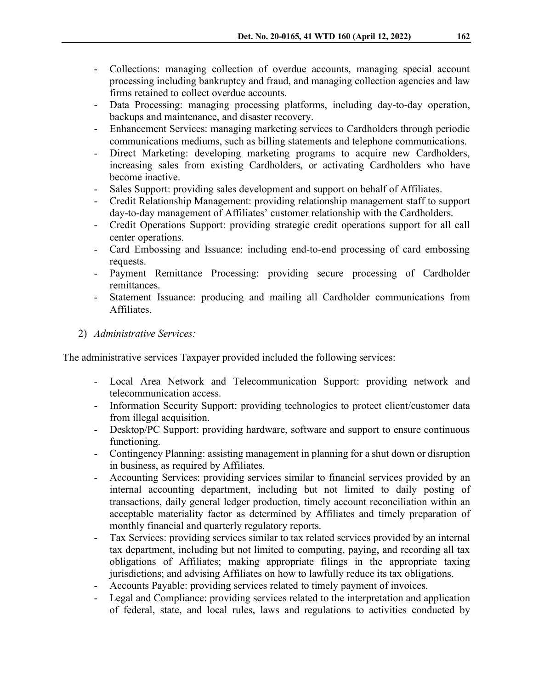- Collections: managing collection of overdue accounts, managing special account processing including bankruptcy and fraud, and managing collection agencies and law firms retained to collect overdue accounts.
- Data Processing: managing processing platforms, including day-to-day operation, backups and maintenance, and disaster recovery.
- Enhancement Services: managing marketing services to Cardholders through periodic communications mediums, such as billing statements and telephone communications.
- Direct Marketing: developing marketing programs to acquire new Cardholders, increasing sales from existing Cardholders, or activating Cardholders who have become inactive.
- Sales Support: providing sales development and support on behalf of Affiliates.
- Credit Relationship Management: providing relationship management staff to support day-to-day management of Affiliates' customer relationship with the Cardholders.
- Credit Operations Support: providing strategic credit operations support for all call center operations.
- Card Embossing and Issuance: including end-to-end processing of card embossing requests.
- Payment Remittance Processing: providing secure processing of Cardholder remittances.
- Statement Issuance: producing and mailing all Cardholder communications from Affiliates.
- 2) *Administrative Services:*

The administrative services Taxpayer provided included the following services:

- Local Area Network and Telecommunication Support: providing network and telecommunication access.
- Information Security Support: providing technologies to protect client/customer data from illegal acquisition.
- Desktop/PC Support: providing hardware, software and support to ensure continuous functioning.
- Contingency Planning: assisting management in planning for a shut down or disruption in business, as required by Affiliates.
- Accounting Services: providing services similar to financial services provided by an internal accounting department, including but not limited to daily posting of transactions, daily general ledger production, timely account reconciliation within an acceptable materiality factor as determined by Affiliates and timely preparation of monthly financial and quarterly regulatory reports.
- Tax Services: providing services similar to tax related services provided by an internal tax department, including but not limited to computing, paying, and recording all tax obligations of Affiliates; making appropriate filings in the appropriate taxing jurisdictions; and advising Affiliates on how to lawfully reduce its tax obligations.
- Accounts Payable: providing services related to timely payment of invoices.
- Legal and Compliance: providing services related to the interpretation and application of federal, state, and local rules, laws and regulations to activities conducted by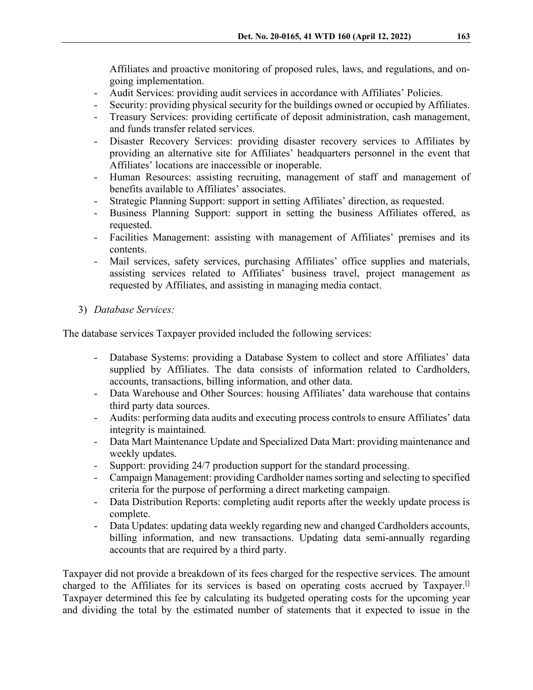Affiliates and proactive monitoring of proposed rules, laws, and regulations, and ongoing implementation.

- Audit Services: providing audit services in accordance with Affiliates' Policies.
- Security: providing physical security for the buildings owned or occupied by Affiliates.
- Treasury Services: providing certificate of deposit administration, cash management, and funds transfer related services.
- Disaster Recovery Services: providing disaster recovery services to Affiliates by providing an alternative site for Affiliates' headquarters personnel in the event that Affiliates' locations are inaccessible or inoperable.
- Human Resources: assisting recruiting, management of staff and management of benefits available to Affiliates' associates.
- Strategic Planning Support: support in setting Affiliates' direction, as requested.
- Business Planning Support: support in setting the business Affiliates offered, as requested.
- Facilities Management: assisting with management of Affiliates' premises and its contents.
- Mail services, safety services, purchasing Affiliates' office supplies and materials, assisting services related to Affiliates' business travel, project management as requested by Affiliates, and assisting in managing media contact.
- 3) *Database Services:*

The database services Taxpayer provided included the following services:

- Database Systems: providing a Database System to collect and store Affiliates' data supplied by Affiliates. The data consists of information related to Cardholders, accounts, transactions, billing information, and other data.
- Data Warehouse and Other Sources: housing Affiliates' data warehouse that contains third party data sources.
- Audits: performing data audits and executing process controls to ensure Affiliates' data integrity is maintained.
- Data Mart Maintenance Update and Specialized Data Mart: providing maintenance and weekly updates.
- Support: providing 24/7 production support for the standard processing.
- Campaign Management: providing Cardholder names sorting and selecting to specified criteria for the purpose of performing a direct marketing campaign.
- Data Distribution Reports: completing audit reports after the weekly update process is complete.
- Data Updates: updating data weekly regarding new and changed Cardholders accounts, billing information, and new transactions. Updating data semi-annually regarding accounts that are required by a third party.

Taxpayer did not provide a breakdown of its fees charged for the respective services. The amount charged to the Affiliates for its services is based on operating costs accrued by Taxpayer.<sup>[1]</sup> Taxpayer determined this fee by calculating its budgeted operating costs for the upcoming year and dividing the total by the estimated number of statements that it expected to issue in the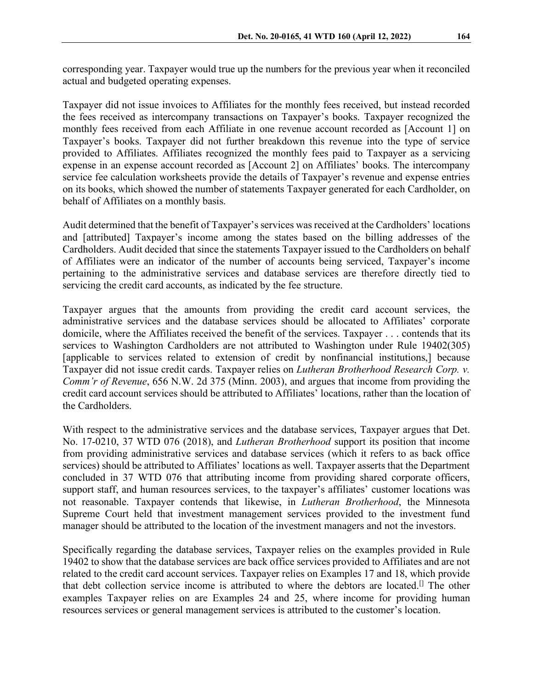corresponding year. Taxpayer would true up the numbers for the previous year when it reconciled actual and budgeted operating expenses.

Taxpayer did not issue invoices to Affiliates for the monthly fees received, but instead recorded the fees received as intercompany transactions on Taxpayer's books. Taxpayer recognized the monthly fees received from each Affiliate in one revenue account recorded as [Account 1] on Taxpayer's books. Taxpayer did not further breakdown this revenue into the type of service provided to Affiliates. Affiliates recognized the monthly fees paid to Taxpayer as a servicing expense in an expense account recorded as [Account 2] on Affiliates' books. The intercompany service fee calculation worksheets provide the details of Taxpayer's revenue and expense entries on its books, which showed the number of statements Taxpayer generated for each Cardholder, on behalf of Affiliates on a monthly basis.

Audit determined that the benefit of Taxpayer's services was received at the Cardholders' locations and [attributed] Taxpayer's income among the states based on the billing addresses of the Cardholders. Audit decided that since the statements Taxpayer issued to the Cardholders on behalf of Affiliates were an indicator of the number of accounts being serviced, Taxpayer's income pertaining to the administrative services and database services are therefore directly tied to servicing the credit card accounts, as indicated by the fee structure.

Taxpayer argues that the amounts from providing the credit card account services, the administrative services and the database services should be allocated to Affiliates' corporate domicile, where the Affiliates received the benefit of the services. Taxpayer . . . contends that its services to Washington Cardholders are not attributed to Washington under Rule 19402(305) [applicable to services related to extension of credit by nonfinancial institutions,] because Taxpayer did not issue credit cards. Taxpayer relies on *Lutheran Brotherhood Research Corp. v. Comm'r of Revenue*, 656 N.W. 2d 375 (Minn. 2003), and argues that income from providing the credit card account services should be attributed to Affiliates' locations, rather than the location of the Cardholders.

With respect to the administrative services and the database services, Taxpayer argues that Det. No. 17-0210, 37 WTD 076 (2018), and *Lutheran Brotherhood* support its position that income from providing administrative services and database services (which it refers to as back office services) should be attributed to Affiliates' locations as well. Taxpayer asserts that the Department concluded in 37 WTD 076 that attributing income from providing shared corporate officers, support staff, and human resources services, to the taxpayer's affiliates' customer locations was not reasonable. Taxpayer contends that likewise, in *Lutheran Brotherhood*, the Minnesota Supreme Court held that investment management services provided to the investment fund manager should be attributed to the location of the investment managers and not the investors.

Specifically regarding the database services, Taxpayer relies on the examples provided in Rule 19402 to show that the database services are back office services provided to Affiliates and are not related to the credit card account services. Taxpayer relies on Examples 17 and 18, which provide that debt collection service income is attributed to where the debtors are located.<sup>[]</sup> The other examples Taxpayer relies on are Examples 24 and 25, where income for providing human resources services or general management services is attributed to the customer's location.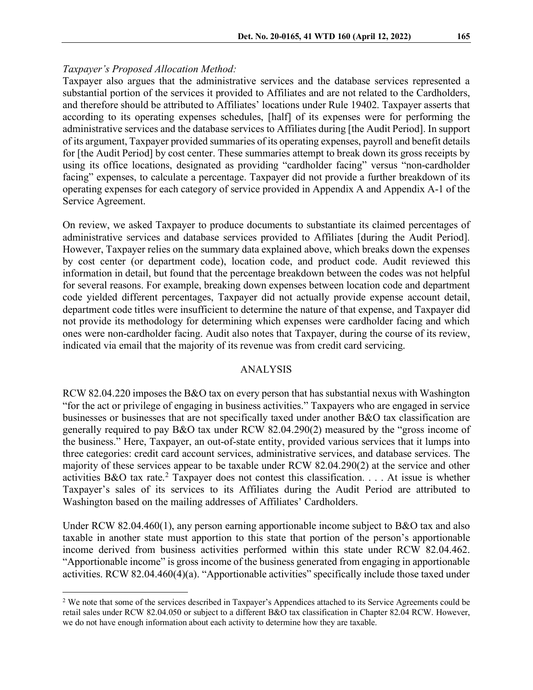### *Taxpayer's Proposed Allocation Method:*

Taxpayer also argues that the administrative services and the database services represented a substantial portion of the services it provided to Affiliates and are not related to the Cardholders, and therefore should be attributed to Affiliates' locations under Rule 19402. Taxpayer asserts that according to its operating expenses schedules, [half] of its expenses were for performing the administrative services and the database services to Affiliates during [the Audit Period]. In support of its argument, Taxpayer provided summaries of its operating expenses, payroll and benefit details for [the Audit Period] by cost center. These summaries attempt to break down its gross receipts by using its office locations, designated as providing "cardholder facing" versus "non-cardholder facing" expenses, to calculate a percentage. Taxpayer did not provide a further breakdown of its operating expenses for each category of service provided in Appendix A and Appendix A-1 of the Service Agreement.

On review, we asked Taxpayer to produce documents to substantiate its claimed percentages of administrative services and database services provided to Affiliates [during the Audit Period]. However, Taxpayer relies on the summary data explained above, which breaks down the expenses by cost center (or department code), location code, and product code. Audit reviewed this information in detail, but found that the percentage breakdown between the codes was not helpful for several reasons. For example, breaking down expenses between location code and department code yielded different percentages, Taxpayer did not actually provide expense account detail, department code titles were insufficient to determine the nature of that expense, and Taxpayer did not provide its methodology for determining which expenses were cardholder facing and which ones were non-cardholder facing. Audit also notes that Taxpayer, during the course of its review, indicated via email that the majority of its revenue was from credit card servicing.

### ANALYSIS

RCW 82.04.220 imposes the B&O tax on every person that has substantial nexus with Washington "for the act or privilege of engaging in business activities." Taxpayers who are engaged in service businesses or businesses that are not specifically taxed under another B&O tax classification are generally required to pay B&O tax under RCW 82.04.290(2) measured by the "gross income of the business." Here, Taxpayer, an out-of-state entity, provided various services that it lumps into three categories: credit card account services, administrative services, and database services. The majority of these services appear to be taxable under RCW 82.04.290(2) at the service and other activities B&O tax rate.<sup>[2](#page-5-0)</sup> Taxpayer does not contest this classification. . . . At issue is whether Taxpayer's sales of its services to its Affiliates during the Audit Period are attributed to Washington based on the mailing addresses of Affiliates' Cardholders.

Under RCW 82.04.460(1), any person earning apportionable income subject to B&O tax and also taxable in another state must apportion to this state that portion of the person's apportionable income derived from business activities performed within this state under RCW 82.04.462. "Apportionable income" is gross income of the business generated from engaging in apportionable activities. RCW 82.04.460(4)(a). "Apportionable activities" specifically include those taxed under

<span id="page-5-0"></span><sup>&</sup>lt;sup>2</sup> We note that some of the services described in Taxpayer's Appendices attached to its Service Agreements could be retail sales under RCW 82.04.050 or subject to a different B&O tax classification in Chapter 82.04 RCW. However, we do not have enough information about each activity to determine how they are taxable.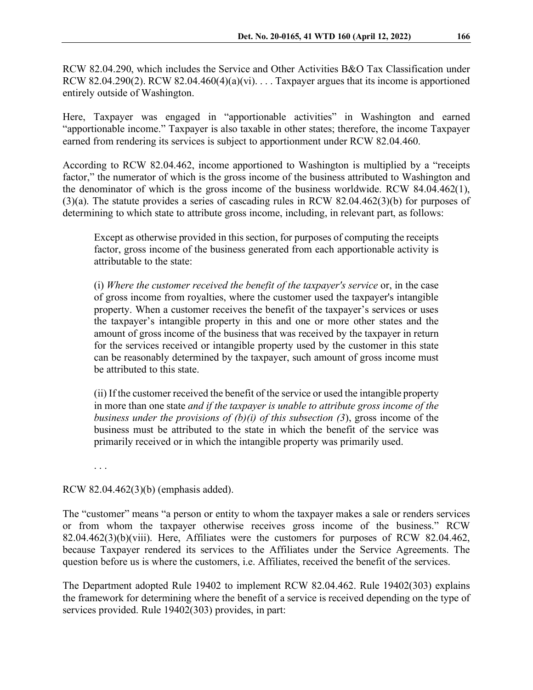RCW 82.04.290, which includes the Service and Other Activities B&O Tax Classification under RCW 82.04.290(2). RCW 82.04.460(4)(a)(vi). . . . Taxpayer argues that its income is apportioned entirely outside of Washington.

Here, Taxpayer was engaged in "apportionable activities" in Washington and earned "apportionable income." Taxpayer is also taxable in other states; therefore, the income Taxpayer earned from rendering its services is subject to apportionment under RCW 82.04.460.

According to RCW 82.04.462, income apportioned to Washington is multiplied by a "receipts factor," the numerator of which is the gross income of the business attributed to Washington and the denominator of which is the gross income of the business worldwide. RCW 84.04.462(1), (3)(a). The statute provides a series of cascading rules in RCW 82.04.462(3)(b) for purposes of determining to which state to attribute gross income, including, in relevant part, as follows:

Except as otherwise provided in this section, for purposes of computing the receipts factor, gross income of the business generated from each apportionable activity is attributable to the state:

(i) *Where the customer received the benefit of the taxpayer's service* or, in the case of gross income from royalties, where the customer used the taxpayer's intangible property. When a customer receives the benefit of the taxpayer's services or uses the taxpayer's intangible property in this and one or more other states and the amount of gross income of the business that was received by the taxpayer in return for the services received or intangible property used by the customer in this state can be reasonably determined by the taxpayer, such amount of gross income must be attributed to this state.

(ii) If the customer received the benefit of the service or used the intangible property in more than one state *and if the taxpayer is unable to attribute gross income of the business under the provisions of (b)(i) of this subsection (3*), gross income of the business must be attributed to the state in which the benefit of the service was primarily received or in which the intangible property was primarily used.

. . .

## RCW 82.04.462(3)(b) (emphasis added).

The "customer" means "a person or entity to whom the taxpayer makes a sale or renders services or from whom the taxpayer otherwise receives gross income of the business." RCW 82.04.462(3)(b)(viii). Here, Affiliates were the customers for purposes of RCW 82.04.462, because Taxpayer rendered its services to the Affiliates under the Service Agreements. The question before us is where the customers, i.e. Affiliates, received the benefit of the services.

The Department adopted Rule 19402 to implement RCW 82.04.462. Rule 19402(303) explains the framework for determining where the benefit of a service is received depending on the type of services provided. Rule 19402(303) provides, in part: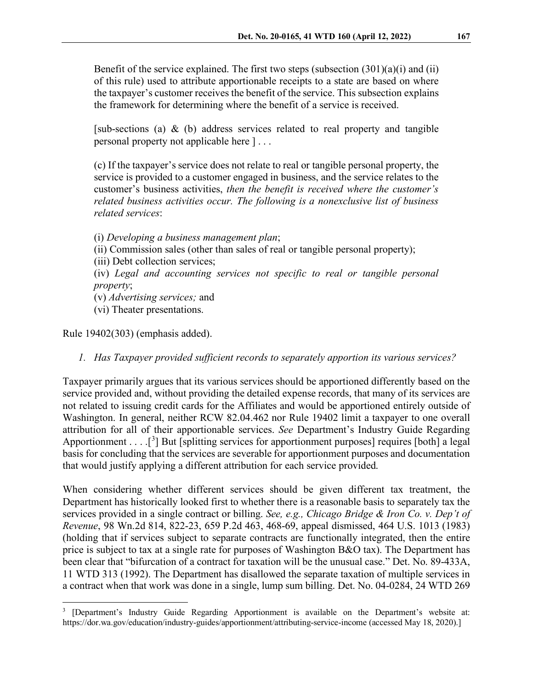Benefit of the service explained. The first two steps (subsection  $(301)(a)(i)$  and  $(ii)$ ) of this rule) used to attribute apportionable receipts to a state are based on where the taxpayer's customer receives the benefit of the service. This subsection explains the framework for determining where the benefit of a service is received.

[sub-sections (a) & (b) address services related to real property and tangible personal property not applicable here ] . . .

(c) If the taxpayer's service does not relate to real or tangible personal property, the service is provided to a customer engaged in business, and the service relates to the customer's business activities, *then the benefit is received where the customer's related business activities occur. The following is a nonexclusive list of business related services*:

(i) *Developing a business management plan*; (ii) Commission sales (other than sales of real or tangible personal property); (iii) Debt collection services; (iv) *Legal and accounting services not specific to real or tangible personal property*; (v) *Advertising services;* and (vi) Theater presentations.

Rule 19402(303) (emphasis added).

*1. Has Taxpayer provided sufficient records to separately apportion its various services?*

Taxpayer primarily argues that its various services should be apportioned differently based on the service provided and, without providing the detailed expense records, that many of its services are not related to issuing credit cards for the Affiliates and would be apportioned entirely outside of Washington. In general, neither RCW 82.04.462 nor Rule 19402 limit a taxpayer to one overall attribution for all of their apportionable services. *See* Department's Industry Guide Regarding Apportionment . . .  $[^3]$  $[^3]$  $[^3]$  But [splitting services for apportionment purposes] requires [both] a legal basis for concluding that the services are severable for apportionment purposes and documentation that would justify applying a different attribution for each service provided.

When considering whether different services should be given different tax treatment, the Department has historically looked first to whether there is a reasonable basis to separately tax the services provided in a single contract or billing. *See, e.g., Chicago Bridge & Iron Co. v. Dep't of Revenue*, 98 Wn.2d 814, 822-23, 659 P.2d 463, 468-69, appeal dismissed, 464 U.S. 1013 (1983) (holding that if services subject to separate contracts are functionally integrated, then the entire price is subject to tax at a single rate for purposes of Washington B&O tax). The Department has been clear that "bifurcation of a contract for taxation will be the unusual case." Det. No. 89-433A, 11 WTD 313 (1992). The Department has disallowed the separate taxation of multiple services in a contract when that work was done in a single, lump sum billing. Det. No. 04-0284, 24 WTD 269

<span id="page-7-0"></span><sup>&</sup>lt;sup>3</sup> [Department's Industry Guide Regarding Apportionment is available on the Department's website at: https://dor.wa.gov/education/industry-guides/apportionment/attributing-service-income (accessed May 18, 2020).]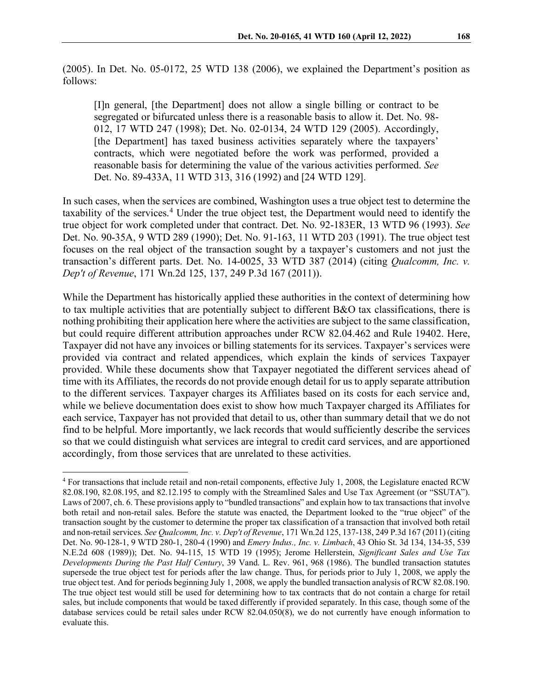(2005). In Det. No. 05-0172, 25 WTD 138 (2006), we explained the Department's position as follows:

[I]n general, [the Department] does not allow a single billing or contract to be segregated or bifurcated unless there is a reasonable basis to allow it. Det. No. 98- 012, 17 WTD 247 (1998); Det. No. 02-0134, 24 WTD 129 (2005). Accordingly, [the Department] has taxed business activities separately where the taxpayers' contracts, which were negotiated before the work was performed, provided a reasonable basis for determining the value of the various activities performed. *See* Det. No. 89-433A, 11 WTD 313, 316 (1992) and [24 WTD 129].

In such cases, when the services are combined, Washington uses a true object test to determine the taxability of the services.<sup>[4](#page-8-0)</sup> Under the true object test, the Department would need to identify the true object for work completed under that contract. Det. No. 92-183ER, 13 WTD 96 (1993). *See* Det. No. 90-35A, 9 WTD 289 (1990); Det. No. 91-163, 11 WTD 203 (1991). The true object test focuses on the real object of the transaction sought by a taxpayer's customers and not just the transaction's different parts. Det. No. 14-0025, 33 WTD 387 (2014) (citing *Qualcomm, Inc. v. Dep't of Revenue*, 171 Wn.2d 125, 137, 249 P.3d 167 (2011)).

While the Department has historically applied these authorities in the context of determining how to tax multiple activities that are potentially subject to different B&O tax classifications, there is nothing prohibiting their application here where the activities are subject to the same classification, but could require different attribution approaches under RCW 82.04.462 and Rule 19402. Here, Taxpayer did not have any invoices or billing statements for its services. Taxpayer's services were provided via contract and related appendices, which explain the kinds of services Taxpayer provided. While these documents show that Taxpayer negotiated the different services ahead of time with its Affiliates, the records do not provide enough detail for us to apply separate attribution to the different services. Taxpayer charges its Affiliates based on its costs for each service and, while we believe documentation does exist to show how much Taxpayer charged its Affiliates for each service, Taxpayer has not provided that detail to us, other than summary detail that we do not find to be helpful. More importantly, we lack records that would sufficiently describe the services so that we could distinguish what services are integral to credit card services, and are apportioned accordingly, from those services that are unrelated to these activities.

<span id="page-8-0"></span><sup>4</sup> For transactions that include retail and non-retail components, effective July 1, 2008, the Legislature enacted RCW 82.08.190, 82.08.195, and 82.12.195 to comply with the Streamlined Sales and Use Tax Agreement (or "SSUTA"). Laws of 2007, ch. 6. These provisions apply to "bundled transactions" and explain how to tax transactions that involve both retail and non-retail sales. Before the statute was enacted, the Department looked to the "true object" of the transaction sought by the customer to determine the proper tax classification of a transaction that involved both retail and non-retail services. *See Qualcomm, Inc. v. Dep't of Revenue*, 171 Wn.2d 125, 137-138, 249 P.3d 167 (2011) (citing Det. No. 90-128-1, 9 WTD 280-1, 280-4 (1990) and *Emery Indus., Inc. v. Limbach*, 43 Ohio St. 3d 134, 134-35, 539 N.E.2d 608 (1989)); Det. No. 94-115, 15 WTD 19 (1995); Jerome Hellerstein, *Significant Sales and Use Tax Developments During the Past Half Century*, 39 Vand. L. Rev. 961, 968 (1986). The bundled transaction statutes supersede the true object test for periods after the law change. Thus, for periods prior to July 1, 2008, we apply the true object test. And for periods beginning July 1, 2008, we apply the bundled transaction analysis of RCW 82.08.190. The true object test would still be used for determining how to tax contracts that do not contain a charge for retail sales, but include components that would be taxed differently if provided separately. In this case, though some of the database services could be retail sales under RCW 82.04.050(8), we do not currently have enough information to evaluate this.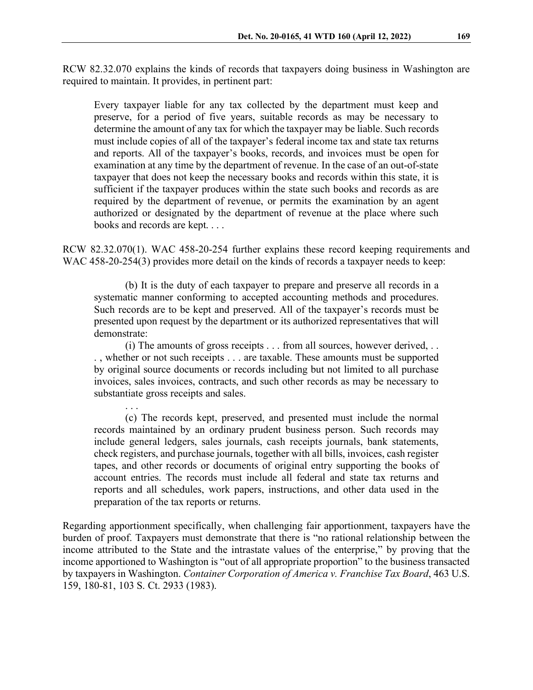RCW 82.32.070 explains the kinds of records that taxpayers doing business in Washington are required to maintain. It provides, in pertinent part:

Every taxpayer liable for any tax collected by the department must keep and preserve, for a period of five years, suitable records as may be necessary to determine the amount of any tax for which the taxpayer may be liable. Such records must include copies of all of the taxpayer's federal income tax and state tax returns and reports. All of the taxpayer's books, records, and invoices must be open for examination at any time by the department of revenue. In the case of an out-of-state taxpayer that does not keep the necessary books and records within this state, it is sufficient if the taxpayer produces within the state such books and records as are required by the department of revenue, or permits the examination by an agent authorized or designated by the department of revenue at the place where such books and records are kept. . . .

RCW 82.32.070(1). WAC 458-20-254 further explains these record keeping requirements and WAC 458-20-254(3) provides more detail on the kinds of records a taxpayer needs to keep:

(b) It is the duty of each taxpayer to prepare and preserve all records in a systematic manner conforming to accepted accounting methods and procedures. Such records are to be kept and preserved. All of the taxpayer's records must be presented upon request by the department or its authorized representatives that will demonstrate:

(i) The amounts of gross receipts . . . from all sources, however derived, . . . , whether or not such receipts . . . are taxable. These amounts must be supported by original source documents or records including but not limited to all purchase invoices, sales invoices, contracts, and such other records as may be necessary to substantiate gross receipts and sales.

. . .

(c) The records kept, preserved, and presented must include the normal records maintained by an ordinary prudent business person. Such records may include general ledgers, sales journals, cash receipts journals, bank statements, check registers, and purchase journals, together with all bills, invoices, cash register tapes, and other records or documents of original entry supporting the books of account entries. The records must include all federal and state tax returns and reports and all schedules, work papers, instructions, and other data used in the preparation of the tax reports or returns.

Regarding apportionment specifically, when challenging fair apportionment, taxpayers have the burden of proof. Taxpayers must demonstrate that there is "no rational relationship between the income attributed to the State and the intrastate values of the enterprise," by proving that the income apportioned to Washington is "out of all appropriate proportion" to the business transacted by taxpayers in Washington. *Container Corporation of America v. Franchise Tax Board*, 463 U.S. 159, 180-81, 103 S. Ct. 2933 (1983).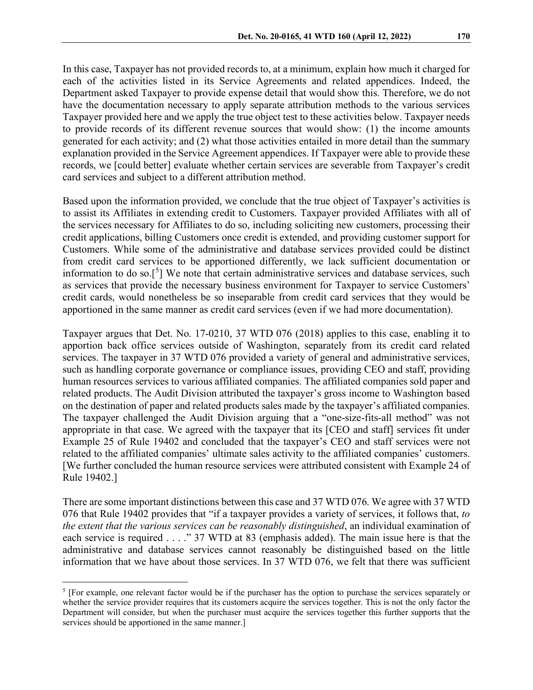In this case, Taxpayer has not provided records to, at a minimum, explain how much it charged for each of the activities listed in its Service Agreements and related appendices. Indeed, the Department asked Taxpayer to provide expense detail that would show this. Therefore, we do not have the documentation necessary to apply separate attribution methods to the various services Taxpayer provided here and we apply the true object test to these activities below. Taxpayer needs to provide records of its different revenue sources that would show: (1) the income amounts generated for each activity; and (2) what those activities entailed in more detail than the summary explanation provided in the Service Agreement appendices. If Taxpayer were able to provide these records, we [could better] evaluate whether certain services are severable from Taxpayer's credit card services and subject to a different attribution method.

Based upon the information provided, we conclude that the true object of Taxpayer's activities is to assist its Affiliates in extending credit to Customers. Taxpayer provided Affiliates with all of the services necessary for Affiliates to do so, including soliciting new customers, processing their credit applications, billing Customers once credit is extended, and providing customer support for Customers. While some of the administrative and database services provided could be distinct from credit card services to be apportioned differently, we lack sufficient documentation or information to do so.<sup>[[5](#page-10-0)</sup>] We note that certain administrative services and database services, such as services that provide the necessary business environment for Taxpayer to service Customers' credit cards, would nonetheless be so inseparable from credit card services that they would be apportioned in the same manner as credit card services (even if we had more documentation).

Taxpayer argues that Det. No. 17-0210, 37 WTD 076 (2018) applies to this case, enabling it to apportion back office services outside of Washington, separately from its credit card related services. The taxpayer in 37 WTD 076 provided a variety of general and administrative services, such as handling corporate governance or compliance issues, providing CEO and staff, providing human resources services to various affiliated companies. The affiliated companies sold paper and related products. The Audit Division attributed the taxpayer's gross income to Washington based on the destination of paper and related products sales made by the taxpayer's affiliated companies. The taxpayer challenged the Audit Division arguing that a "one-size-fits-all method" was not appropriate in that case. We agreed with the taxpayer that its [CEO and staff] services fit under Example 25 of Rule 19402 and concluded that the taxpayer's CEO and staff services were not related to the affiliated companies' ultimate sales activity to the affiliated companies' customers. [We further concluded the human resource services were attributed consistent with Example 24 of Rule 19402.]

There are some important distinctions between this case and 37 WTD 076. We agree with 37 WTD 076 that Rule 19402 provides that "if a taxpayer provides a variety of services, it follows that, *to the extent that the various services can be reasonably distinguished*, an individual examination of each service is required . . . ." 37 WTD at 83 (emphasis added). The main issue here is that the administrative and database services cannot reasonably be distinguished based on the little information that we have about those services. In 37 WTD 076, we felt that there was sufficient

<span id="page-10-0"></span><sup>&</sup>lt;sup>5</sup> [For example, one relevant factor would be if the purchaser has the option to purchase the services separately or whether the service provider requires that its customers acquire the services together. This is not the only factor the Department will consider, but when the purchaser must acquire the services together this further supports that the services should be apportioned in the same manner.]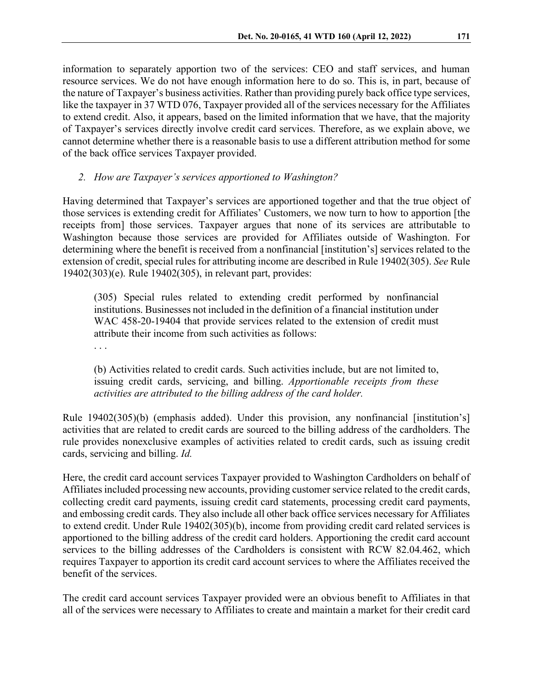information to separately apportion two of the services: CEO and staff services, and human resource services. We do not have enough information here to do so. This is, in part, because of the nature of Taxpayer's business activities. Rather than providing purely back office type services, like the taxpayer in 37 WTD 076, Taxpayer provided all of the services necessary for the Affiliates to extend credit. Also, it appears, based on the limited information that we have, that the majority of Taxpayer's services directly involve credit card services. Therefore, as we explain above, we cannot determine whether there is a reasonable basis to use a different attribution method for some of the back office services Taxpayer provided.

## *2. How are Taxpayer's services apportioned to Washington?*

Having determined that Taxpayer's services are apportioned together and that the true object of those services is extending credit for Affiliates' Customers, we now turn to how to apportion [the receipts from] those services. Taxpayer argues that none of its services are attributable to Washington because those services are provided for Affiliates outside of Washington. For determining where the benefit is received from a nonfinancial [institution's] services related to the extension of credit, special rules for attributing income are described in Rule 19402(305). *See* Rule 19402(303)(e). Rule 19402(305), in relevant part, provides:

(305) Special rules related to extending credit performed by nonfinancial institutions. Businesses not included in the definition of a financial institution under WAC 458-20-19404 that provide services related to the extension of credit must attribute their income from such activities as follows:

. . .

(b) Activities related to credit cards. Such activities include, but are not limited to, issuing credit cards, servicing, and billing. *Apportionable receipts from these activities are attributed to the billing address of the card holder.*

Rule 19402(305)(b) (emphasis added). Under this provision, any nonfinancial [institution's] activities that are related to credit cards are sourced to the billing address of the cardholders. The rule provides nonexclusive examples of activities related to credit cards, such as issuing credit cards, servicing and billing. *Id.*

Here, the credit card account services Taxpayer provided to Washington Cardholders on behalf of Affiliates included processing new accounts, providing customer service related to the credit cards, collecting credit card payments, issuing credit card statements, processing credit card payments, and embossing credit cards. They also include all other back office services necessary for Affiliates to extend credit. Under Rule 19402(305)(b), income from providing credit card related services is apportioned to the billing address of the credit card holders. Apportioning the credit card account services to the billing addresses of the Cardholders is consistent with RCW 82.04.462, which requires Taxpayer to apportion its credit card account services to where the Affiliates received the benefit of the services.

The credit card account services Taxpayer provided were an obvious benefit to Affiliates in that all of the services were necessary to Affiliates to create and maintain a market for their credit card